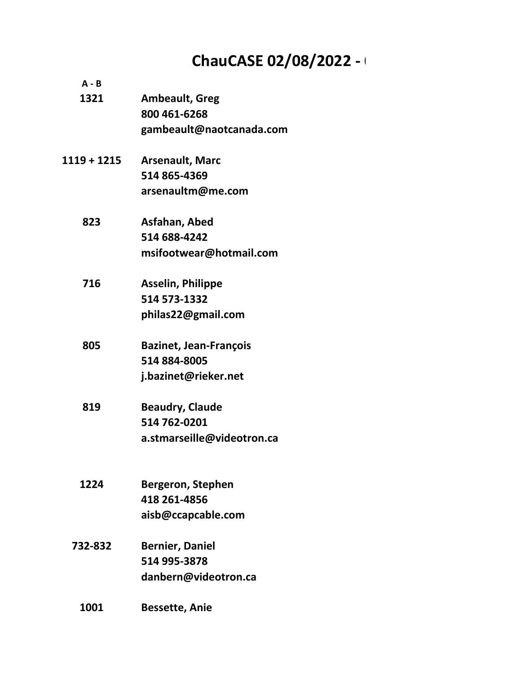# ChauCASE 02/08/2022 -

| $A - B$       |                               |
|---------------|-------------------------------|
| 1321          | <b>Ambeault, Greg</b>         |
|               | 800 461-6268                  |
|               | gambeault@naotcanada.com      |
| $1119 + 1215$ | <b>Arsenault, Marc</b>        |
|               | 514 865-4369                  |
|               | arsenaultm@me.com             |
| 823           | Asfahan, Abed                 |
|               | 514 688-4242                  |
|               | msifootwear@hotmail.com       |
| 716           | <b>Asselin, Philippe</b>      |
|               | 514 573-1332                  |
|               | philas22@gmail.com            |
| 805           | <b>Bazinet, Jean-François</b> |
|               | 514 884-8005                  |
|               | j.bazinet@rieker.net          |
| 819           | <b>Beaudry, Claude</b>        |
|               | 514 762-0201                  |
|               | a.stmarseille@videotron.ca    |
|               |                               |
| 1224          | Bergeron, Stephen             |
|               | 418 261-4856                  |
|               | aisb@ccapcable.com            |
| 732-832       | <b>Bernier, Daniel</b>        |
|               | 514 995-3878                  |
|               | danbern@videotron.ca          |
| 1001          | <b>Bessette, Anie</b>         |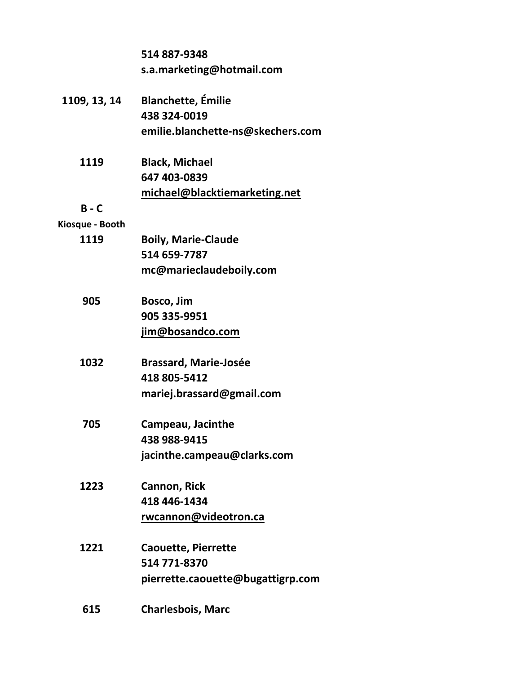|                 | 514 887-9348                      |
|-----------------|-----------------------------------|
|                 | s.a.marketing@hotmail.com         |
|                 |                                   |
| 1109, 13, 14    | <b>Blanchette, Émilie</b>         |
|                 | 438 324-0019                      |
|                 | emilie.blanchette-ns@skechers.com |
| 1119            | <b>Black, Michael</b>             |
|                 | 647 403-0839                      |
|                 | michael@blacktiemarketing.net     |
| $B - C$         |                                   |
| Kiosque - Booth |                                   |
| 1119            | <b>Boily, Marie-Claude</b>        |
|                 | 514 659-7787                      |
|                 | mc@marieclaudeboily.com           |
| 905             | Bosco, Jim                        |
|                 | 905 335-9951                      |
|                 | jim@bosandco.com                  |
| 1032            | <b>Brassard, Marie-Josée</b>      |
|                 | 418 805-5412                      |
|                 | mariej.brassard@gmail.com         |
| 705             | Campeau, Jacinthe                 |
|                 | 438 988-9415                      |
|                 | jacinthe.campeau@clarks.com       |
| 1223            | <b>Cannon, Rick</b>               |
|                 | 418 446-1434                      |
|                 | rwcannon@videotron.ca             |
| 1221            | <b>Caouette, Pierrette</b>        |
|                 | 514 771-8370                      |
|                 | pierrette.caouette@bugattigrp.com |
| 615             | <b>Charlesbois, Marc</b>          |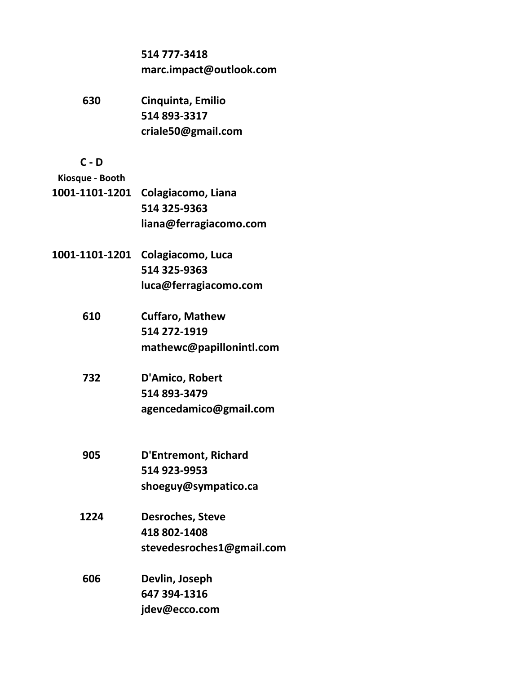|                 | 514 777-3418<br>marc.impact@outlook.com |
|-----------------|-----------------------------------------|
|                 |                                         |
| 630             | Cinquinta, Emilio                       |
|                 | 514 893-3317                            |
|                 | criale50@gmail.com                      |
| $C - D$         |                                         |
| Kiosque - Booth |                                         |
|                 | 1001-1101-1201 Colagiacomo, Liana       |
|                 | 514 325-9363                            |
|                 | liana@ferragiacomo.com                  |
|                 | 1001-1101-1201 Colagiacomo, Luca        |
|                 | 514 325-9363                            |
|                 | luca@ferragiacomo.com                   |
| 610             | <b>Cuffaro, Mathew</b>                  |
|                 | 514 272-1919                            |
|                 | mathewc@papillonintl.com                |
| 732             | D'Amico, Robert                         |
|                 | 514 893-3479                            |
|                 | agencedamico@gmail.com                  |
|                 |                                         |
| 905             | <b>D'Entremont, Richard</b>             |
|                 | 514 923-9953                            |
|                 | shoeguy@sympatico.ca                    |
| 1224            | <b>Desroches, Steve</b>                 |
|                 | 418 802-1408                            |
|                 | stevedesroches1@gmail.com               |
|                 |                                         |

**606 Devlin, Joseph 647 394-1316 [jdev@ecco.com](mailto:jdev@ecco.com)**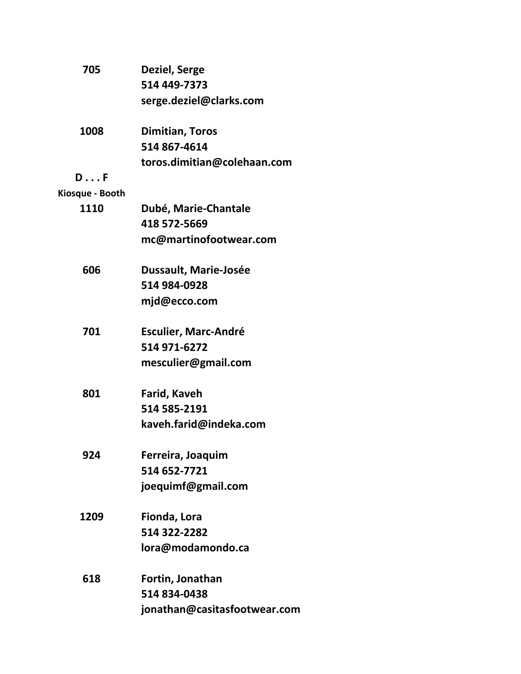| 705             | Deziel, Serge                |
|-----------------|------------------------------|
|                 | 514 449-7373                 |
|                 | serge.deziel@clarks.com      |
| 1008            | <b>Dimitian, Toros</b>       |
|                 | 514 867-4614                 |
|                 | toros.dimitian@colehaan.com  |
| $D \ldots F$    |                              |
| Kiosque - Booth |                              |
| 1110            | Dubé, Marie-Chantale         |
|                 | 418 572-5669                 |
|                 | mc@martinofootwear.com       |
| 606             | <b>Dussault, Marie-Josée</b> |
|                 | 514 984-0928                 |
|                 | mjd@ecco.com                 |
| 701             | <b>Esculier, Marc-André</b>  |
|                 | 514 971-6272                 |
|                 | mesculier@gmail.com          |
| 801             | Farid, Kaveh                 |
|                 | 514 585-2191                 |
|                 | kaveh.farid@indeka.com       |
| 924             | Ferreira, Joaquim            |
|                 | 514 652-7721                 |
|                 | joequimf@gmail.com           |
| 1209            | Fionda, Lora                 |
|                 | 514 322-2282                 |
|                 | lora@modamondo.ca            |
| 618             | Fortin, Jonathan             |
|                 | 514 834-0438                 |
|                 | jonathan@casitasfootwear.com |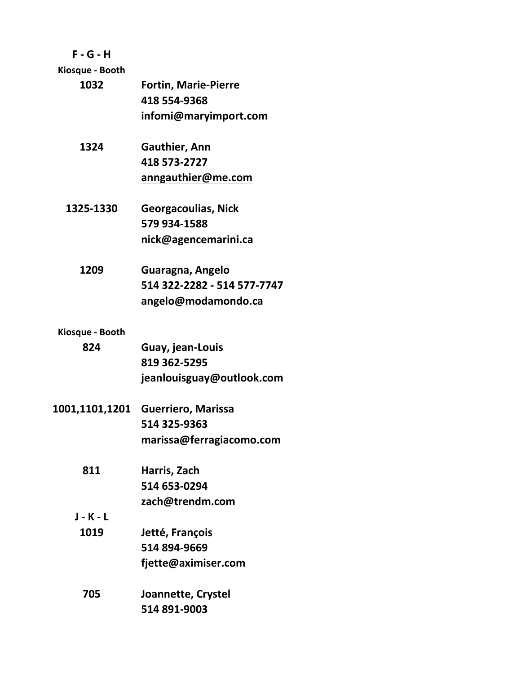# **F - G - H**

**Kiosque - Booth**

| 1032            | <b>Fortin, Marie-Pierre</b> |
|-----------------|-----------------------------|
|                 | 418 554-9368                |
|                 | infomi@maryimport.com       |
| 1324            | Gauthier, Ann               |
|                 | 418 573-2727                |
|                 | anngauthier@me.com          |
| 1325-1330       | <b>Georgacoulias, Nick</b>  |
|                 | 579 934-1588                |
|                 | nick@agencemarini.ca        |
| 1209            | Guaragna, Angelo            |
|                 | 514 322-2282 - 514 577-7747 |
|                 | angelo@modamondo.ca         |
| Kiosque - Booth |                             |
| 824             | Guay, jean-Louis            |
|                 | 819 362-5295                |
|                 | jeanlouisguay@outlook.com   |
| 1001,1101,1201  | <b>Guerriero, Marissa</b>   |
|                 | 514 325-9363                |
|                 | marissa@ferragiacomo.com    |
| 811             | Harris, Zach                |
|                 | 514 653-0294                |
|                 | zach@trendm.com             |
| <b>J-K-L</b>    |                             |
| 1019            | Jetté, François             |
|                 | 514 894-9669                |
|                 | fjette@aximiser.com         |
| 705             | Joannette, Crystel          |
|                 | 514 891-9003                |
|                 |                             |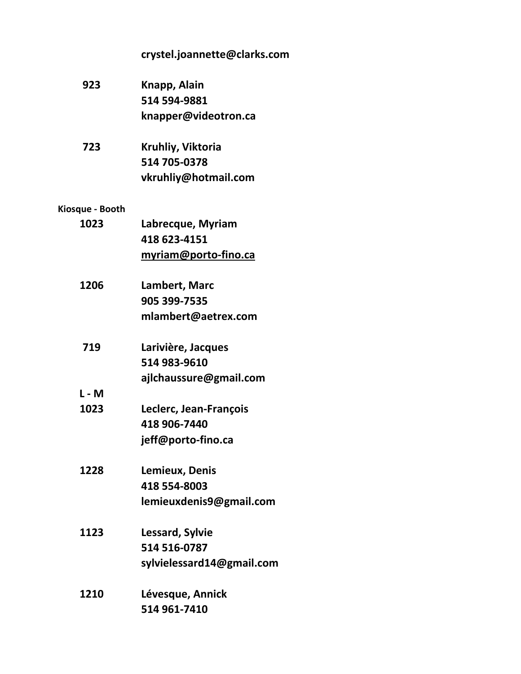|                 | crystel.joannette@clarks.com |
|-----------------|------------------------------|
| 923             | Knapp, Alain                 |
|                 | 514 594-9881                 |
|                 | knapper@videotron.ca         |
| 723             | Kruhliy, Viktoria            |
|                 | 514 705-0378                 |
|                 | vkruhliy@hotmail.com         |
| Kiosque - Booth |                              |
| 1023            | Labrecque, Myriam            |
|                 | 418 623-4151                 |
|                 | myriam@porto-fino.ca         |
| 1206            | Lambert, Marc                |
|                 | 905 399-7535                 |
|                 | mlambert@aetrex.com          |
| 719             | Larivière, Jacques           |
|                 | 514 983-9610                 |
|                 | ajlchaussure@gmail.com       |
| $L - M$         |                              |
| 1023            | Leclerc, Jean-François       |
|                 | 418 906-7440                 |
|                 | jeff@porto-fino.ca           |
| 1228            | Lemieux, Denis               |
|                 | 418 554-8003                 |
|                 | lemieuxdenis9@gmail.com      |
| 1123            | Lessard, Sylvie              |
|                 | 514 516-0787                 |
|                 | sylvielessard14@gmail.com    |
| 1210            | Lévesque, Annick             |
|                 | 514 961-7410                 |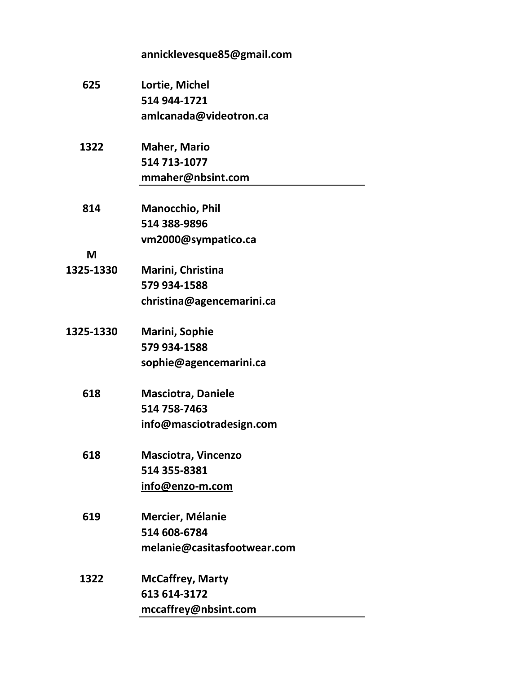|           | annicklevesque85@gmail.com  |
|-----------|-----------------------------|
| 625       | Lortie, Michel              |
|           | 514 944-1721                |
|           | amlcanada@videotron.ca      |
| 1322      | <b>Maher, Mario</b>         |
|           | 514 713-1077                |
|           | mmaher@nbsint.com           |
| 814       | <b>Manocchio, Phil</b>      |
|           | 514 388-9896                |
|           | vm2000@sympatico.ca         |
| M         |                             |
| 1325-1330 | Marini, Christina           |
|           | 579 934-1588                |
|           | christina@agencemarini.ca   |
| 1325-1330 | <b>Marini, Sophie</b>       |
|           | 579 934-1588                |
|           | sophie@agencemarini.ca      |
| 618       | <b>Masciotra, Daniele</b>   |
|           | 514 758-7463                |
|           | info@masciotradesign.com    |
| 618       | <b>Masciotra, Vincenzo</b>  |
|           | 514 355-8381                |
|           | info@enzo-m.com             |
| 619       | <b>Mercier, Mélanie</b>     |
|           | 514 608-6784                |
|           | melanie@casitasfootwear.com |
| 1322      | <b>McCaffrey, Marty</b>     |
|           | 613 614-3172                |
|           | mccaffrey@nbsint.com        |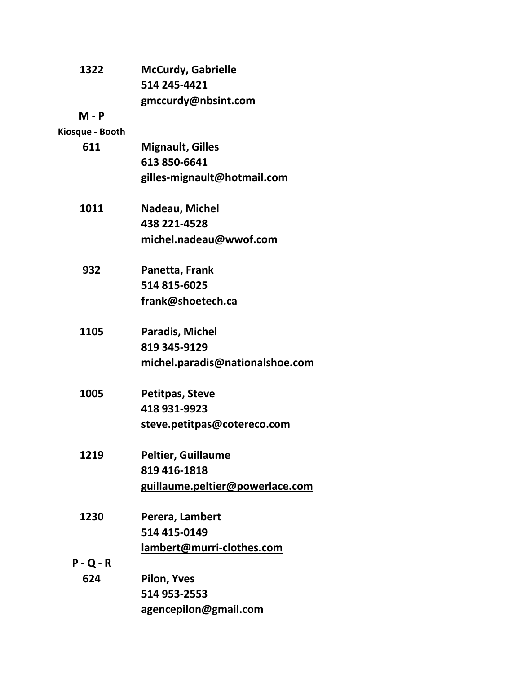| 1322            | <b>McCurdy, Gabrielle</b>       |
|-----------------|---------------------------------|
|                 | 514 245-4421                    |
|                 | gmccurdy@nbsint.com             |
| $M - P$         |                                 |
| Kiosque - Booth |                                 |
| 611             | <b>Mignault, Gilles</b>         |
|                 | 613 850-6641                    |
|                 | gilles-mignault@hotmail.com     |
| 1011            | Nadeau, Michel                  |
|                 | 438 221-4528                    |
|                 | michel.nadeau@wwof.com          |
| 932             | Panetta, Frank                  |
|                 | 514 815-6025                    |
|                 | frank@shoetech.ca               |
| 1105            | <b>Paradis, Michel</b>          |
|                 | 819 345-9129                    |
|                 | michel.paradis@nationalshoe.com |
| 1005            | <b>Petitpas, Steve</b>          |
|                 | 418 931-9923                    |
|                 | steve.petitpas@cotereco.com     |
| 1219            | <b>Peltier, Guillaume</b>       |
|                 | 819 416-1818                    |
|                 | guillaume.peltier@powerlace.com |
| 1230            | Perera, Lambert                 |
|                 | 514 415-0149                    |
|                 | lambert@murri-clothes.com       |
| $P - Q - R$     |                                 |
| 624             | <b>Pilon, Yves</b>              |
|                 | 514 953-2553                    |
|                 | agencepilon@gmail.com           |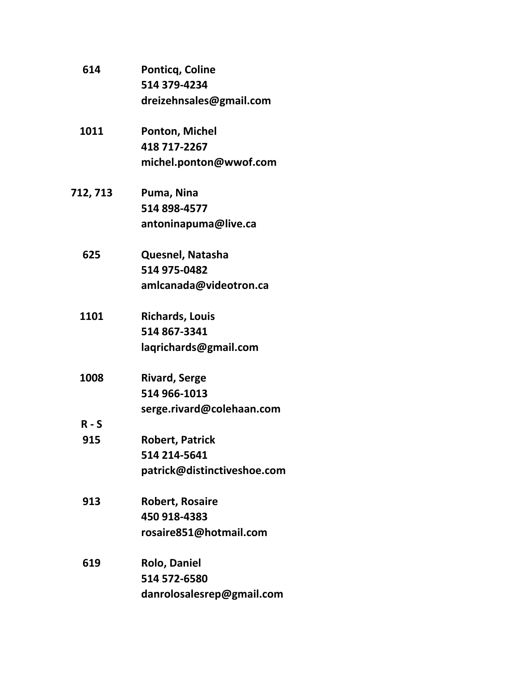| 614      | <b>Ponticq, Coline</b>      |
|----------|-----------------------------|
|          | 514 379-4234                |
|          | dreizehnsales@gmail.com     |
| 1011     | <b>Ponton, Michel</b>       |
|          | 418 717-2267                |
|          | michel.ponton@wwof.com      |
| 712, 713 | Puma, Nina                  |
|          | 514 898-4577                |
|          | antoninapuma@live.ca        |
| 625      | Quesnel, Natasha            |
|          | 514 975-0482                |
|          | amlcanada@videotron.ca      |
| 1101     | <b>Richards, Louis</b>      |
|          | 514 867-3341                |
|          | laqrichards@gmail.com       |
| 1008     | <b>Rivard, Serge</b>        |
|          | 514 966-1013                |
|          | serge.rivard@colehaan.com   |
| $R-S$    |                             |
| 915      | <b>Robert, Patrick</b>      |
|          | 514 214-5641                |
|          | patrick@distinctiveshoe.com |
| 913      | <b>Robert, Rosaire</b>      |
|          | 450 918-4383                |
|          | rosaire851@hotmail.com      |
| 619      | <b>Rolo, Daniel</b>         |
|          | 514 572-6580                |
|          | danrolosalesrep@gmail.com   |
|          |                             |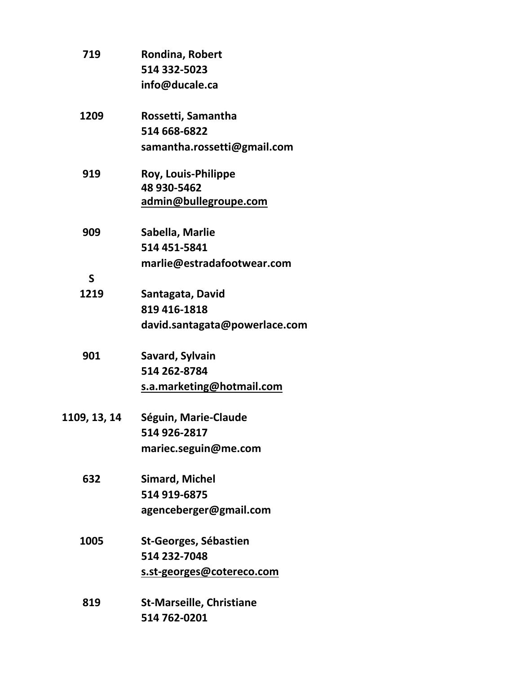| 719          | Rondina, Robert                 |
|--------------|---------------------------------|
|              | 514 332-5023                    |
|              | info@ducale.ca                  |
| 1209         | Rossetti, Samantha              |
|              | 514 668-6822                    |
|              | samantha.rossetti@gmail.com     |
| 919          | <b>Roy, Louis-Philippe</b>      |
|              | 48 930-5462                     |
|              | admin@bullegroupe.com           |
| 909          | Sabella, Marlie                 |
|              | 514 451-5841                    |
|              | marlie@estradafootwear.com      |
| $\mathsf{S}$ |                                 |
| 1219         | Santagata, David                |
|              | 819 416-1818                    |
|              | david.santagata@powerlace.com   |
| 901          | Savard, Sylvain                 |
|              | 514 262-8784                    |
|              | s.a.marketing@hotmail.com       |
| 1109, 13, 14 | Séguin, Marie-Claude            |
|              | 514 926-2817                    |
|              | mariec.seguin@me.com            |
| 632          | <b>Simard, Michel</b>           |
|              | 514 919-6875                    |
|              | agenceberger@gmail.com          |
| 1005         | <b>St-Georges, Sébastien</b>    |
|              | 514 232-7048                    |
|              | s.st-georges@cotereco.com       |
|              |                                 |
| 819          | <b>St-Marseille, Christiane</b> |
|              | 514 762-0201                    |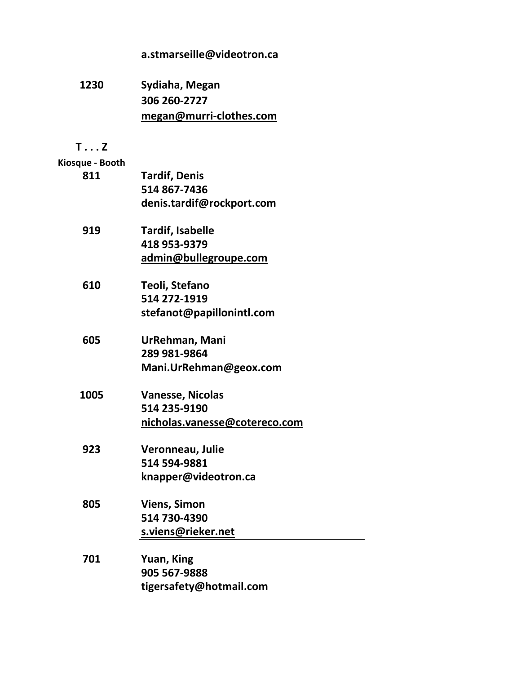## **[a.stmarseille@videotron.ca](mailto:a.stmarseille@videotron.ca)**

**1230 Sydiaha, Megan 306 260-2727 [megan@murri-clothes.com](mailto:megan@murri-clothes.com) T . . . Z Kiosque - Booth 811 Tardif, Denis 514 867-7436 [denis.tardif@rockport.com](mailto:denis.tardif@rockport.com) 919 Tardif, Isabelle 418 953-9379 [admin@bullegroupe.com](mailto:admin@bullegroupe.com) 610 Teoli, Stefano 514 272-1919 [stefanot@papillonintl.com](mailto:stefanot@papillonintl.com) 605 UrRehman, Mani 289 981-9864 [Mani.UrRehman@geox.com](mailto:Mani.UrRehman@geox.com) 1005 Vanesse, Nicolas 514 235-9190 [nicholas.vanesse@cotereco.com](mailto:nicholas.vanesse@cotereco.com) 923 Veronneau, Julie 514 594-9881 [knapper@videotron.ca](mailto:knapper@videotron.ca) 805 Viens, Simon 514 730-4390 [s.viens@rieker.net](mailto:s.viens@rieker.net) 701 Yuan, King 905 567-9888 [tigersafety@hotmail.com](mailto:tigersafety@hotmail.com)**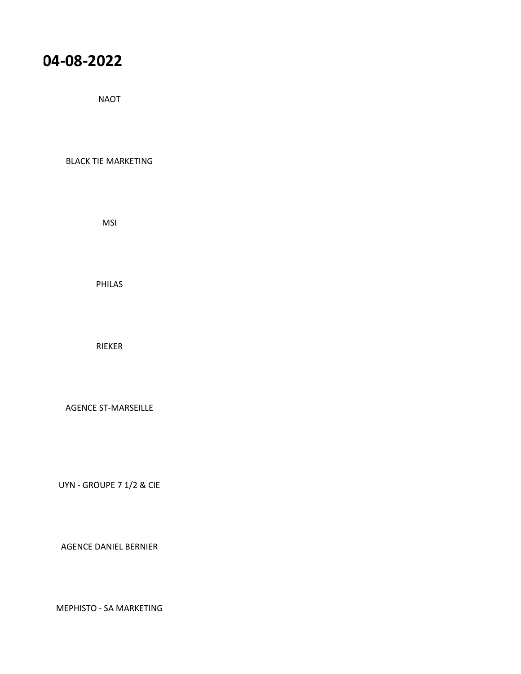# **ChauCASE 02/08/2022 - 04-08-2022**

NAOT

BLACK TIE MARKETING

MSI

PHILAS

RIEKER

AGENCE ST-MARSEILLE

UYN - GROUPE 7 1/2 & CIE

AGENCE DANIEL BERNIER

MEPHISTO - SA MARKETING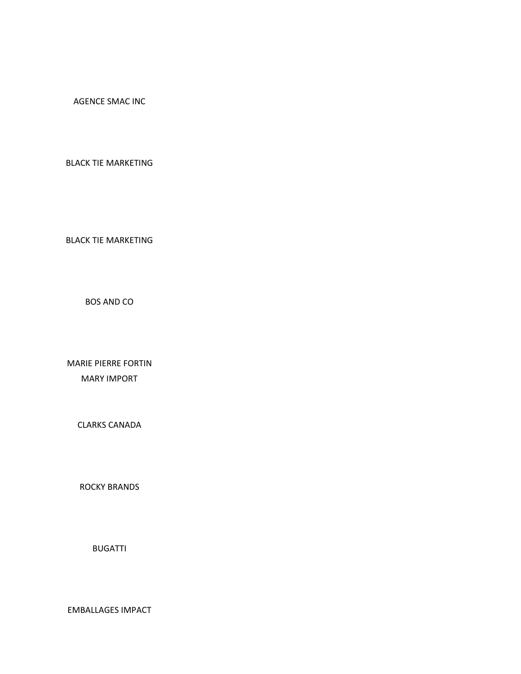AGENCE SMAC INC

BLACK TIE MARKETING

BLACK TIE MARKETING

BOS AND CO

MARIE PIERRE FORTIN MARY IMPORT

CLARKS CANADA

ROCKY BRANDS

BUGATTI

EMBALLAGES IMPACT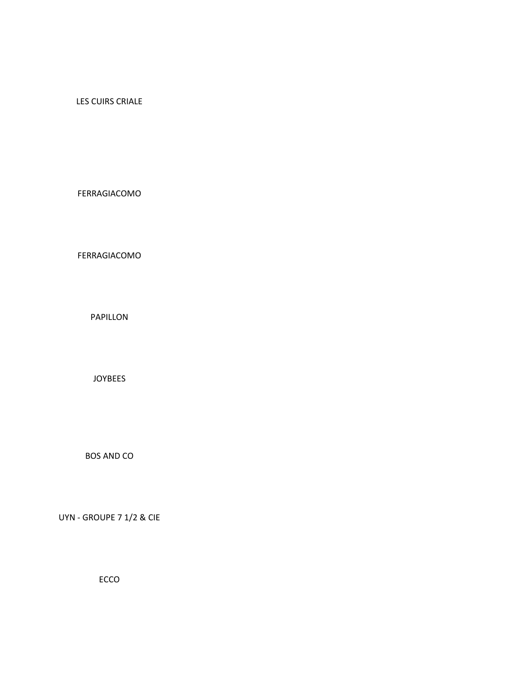### LES CUIRS CRIALE

#### FERRAGIACOMO

### FERRAGIACOMO

PAPILLON

#### JOYBEES

BOS AND CO

UYN - GROUPE 7 1/2 & CIE

ECCO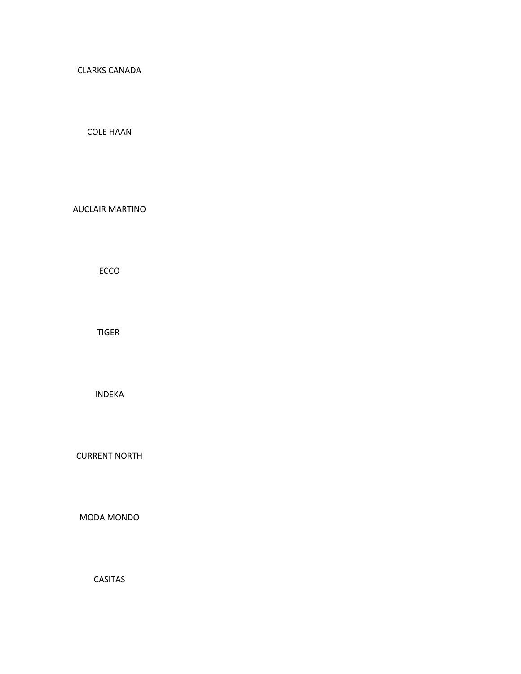CLARKS CANADA

COLE HAAN

AUCLAIR MARTINO

ECCO

TIGER

INDEKA

CURRENT NORTH

MODA MONDO

CASITAS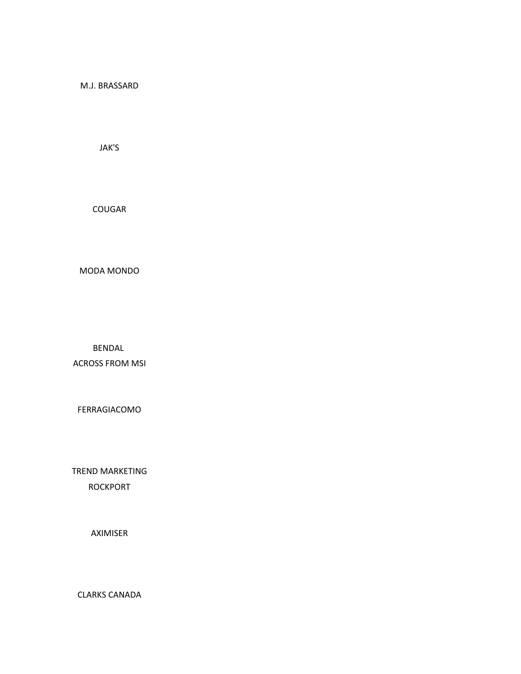M.J. BRASSARD

JAK'S

COUGAR

MODA MONDO

BENDAL

ACROSS FROM MSI

FERRAGIACOMO

TREND MARKETING ROCKPORT

AXIMISER

CLARKS CANADA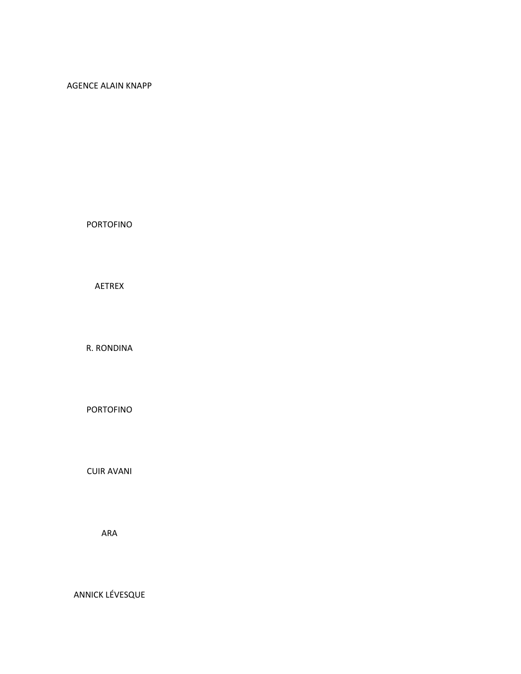#### AGENCE ALAIN KNAPP

PORTOFINO

AETREX

R. RONDINA

PORTOFINO

CUIR AVANI

ARA

ANNICK LÉVESQUE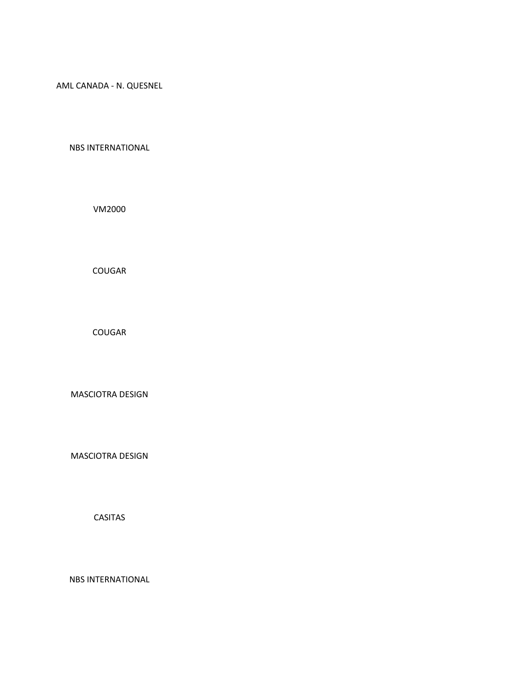AML CANADA - N. QUESNEL

NBS INTERNATIONAL

VM2000

COUGAR

COUGAR

MASCIOTRA DESIGN

MASCIOTRA DESIGN

CASITAS

NBS INTERNATIONAL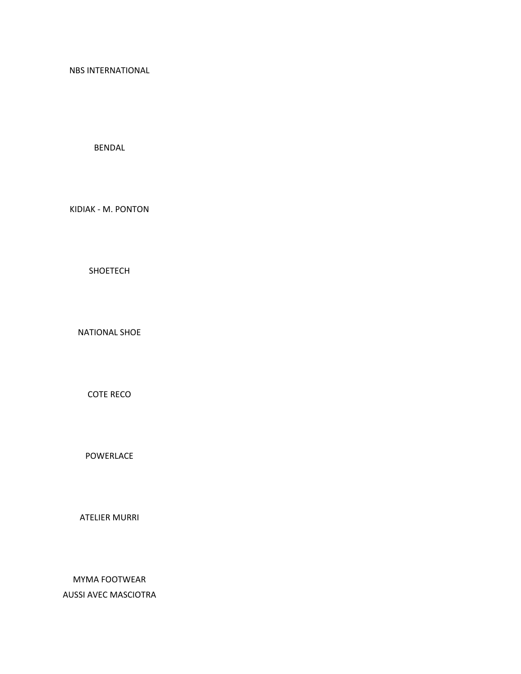NBS INTERNATIONAL

BENDAL

KIDIAK - M. PONTON

SHOETECH

NATIONAL SHOE

COTE RECO

POWERLACE

ATELIER MURRI

MYMA FOOTWEAR AUSSI AVEC MASCIOTRA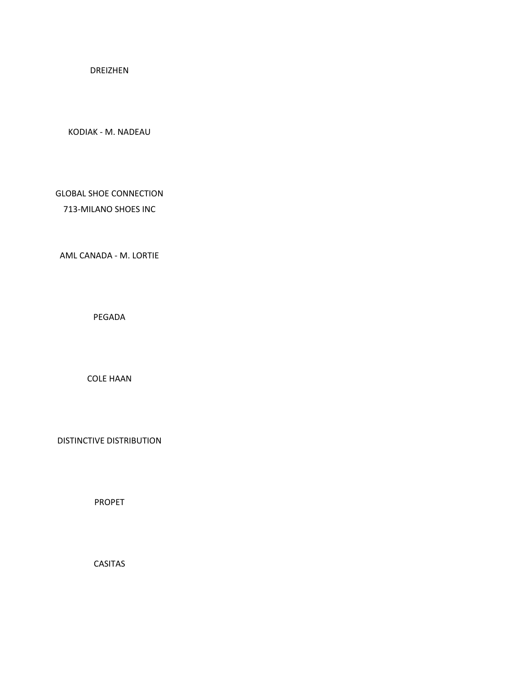DREIZHEN

KODIAK - M. NADEAU

GLOBAL SHOE CONNECTION 713-MILANO SHOES INC

AML CANADA - M. LORTIE

PEGADA

COLE HAAN

DISTINCTIVE DISTRIBUTION

PROPET

CASITAS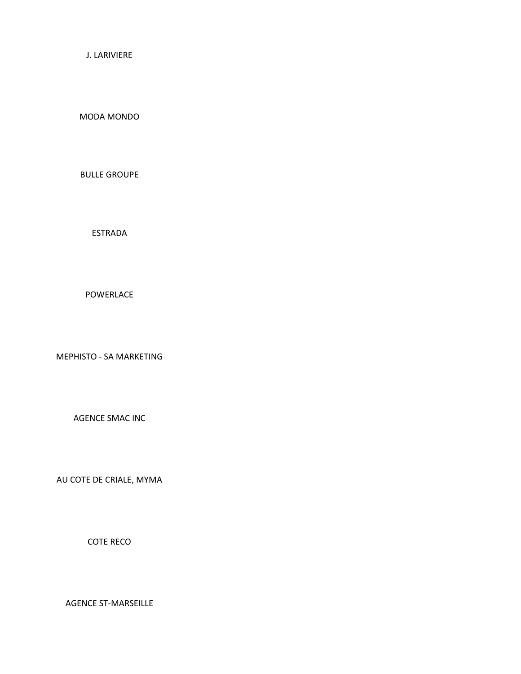J. LARIVIERE

MODA MONDO

BULLE GROUPE

ESTRADA

POWERLACE

MEPHISTO - SA MARKETING

AGENCE SMAC INC

AU COTE DE CRIALE, MYMA

COTE RECO

AGENCE ST-MARSEILLE